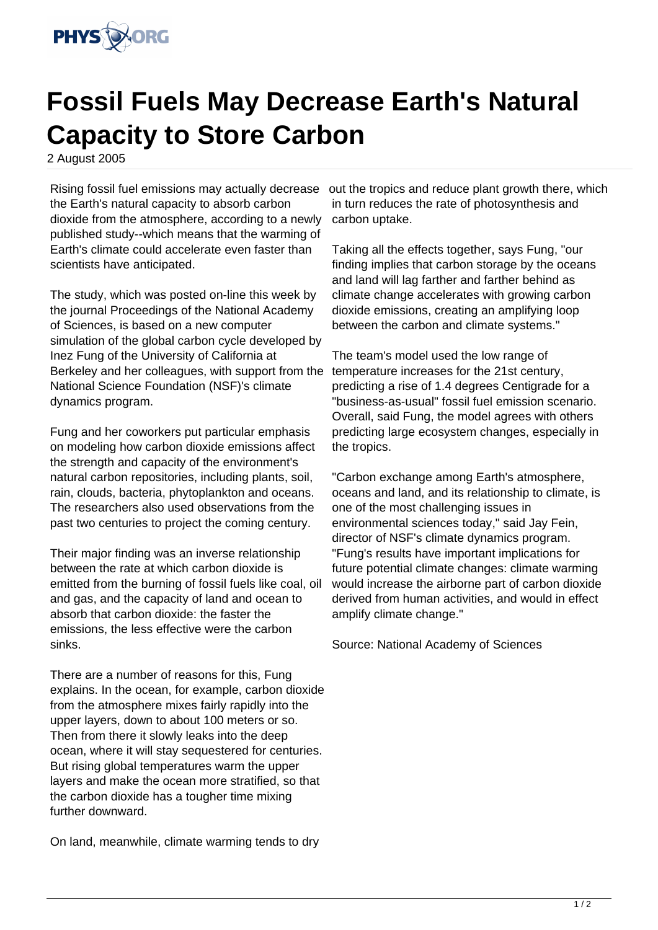

## **Fossil Fuels May Decrease Earth's Natural Capacity to Store Carbon**

2 August 2005

the Earth's natural capacity to absorb carbon dioxide from the atmosphere, according to a newly published study--which means that the warming of Earth's climate could accelerate even faster than scientists have anticipated.

The study, which was posted on-line this week by the journal Proceedings of the National Academy of Sciences, is based on a new computer simulation of the global carbon cycle developed by Inez Fung of the University of California at Berkeley and her colleagues, with support from the National Science Foundation (NSF)'s climate dynamics program.

Fung and her coworkers put particular emphasis on modeling how carbon dioxide emissions affect the strength and capacity of the environment's natural carbon repositories, including plants, soil, rain, clouds, bacteria, phytoplankton and oceans. The researchers also used observations from the past two centuries to project the coming century.

Their major finding was an inverse relationship between the rate at which carbon dioxide is emitted from the burning of fossil fuels like coal, oil and gas, and the capacity of land and ocean to absorb that carbon dioxide: the faster the emissions, the less effective were the carbon sinks.

There are a number of reasons for this, Fung explains. In the ocean, for example, carbon dioxide from the atmosphere mixes fairly rapidly into the upper layers, down to about 100 meters or so. Then from there it slowly leaks into the deep ocean, where it will stay sequestered for centuries. But rising global temperatures warm the upper layers and make the ocean more stratified, so that the carbon dioxide has a tougher time mixing further downward.

On land, meanwhile, climate warming tends to dry

Rising fossil fuel emissions may actually decrease out the tropics and reduce plant growth there, which in turn reduces the rate of photosynthesis and carbon uptake.

> Taking all the effects together, says Fung, "our finding implies that carbon storage by the oceans and land will lag farther and farther behind as climate change accelerates with growing carbon dioxide emissions, creating an amplifying loop between the carbon and climate systems."

The team's model used the low range of temperature increases for the 21st century, predicting a rise of 1.4 degrees Centigrade for a "business-as-usual" fossil fuel emission scenario. Overall, said Fung, the model agrees with others predicting large ecosystem changes, especially in the tropics.

"Carbon exchange among Earth's atmosphere, oceans and land, and its relationship to climate, is one of the most challenging issues in environmental sciences today," said Jay Fein, director of NSF's climate dynamics program. "Fung's results have important implications for future potential climate changes: climate warming would increase the airborne part of carbon dioxide derived from human activities, and would in effect amplify climate change."

Source: National Academy of Sciences